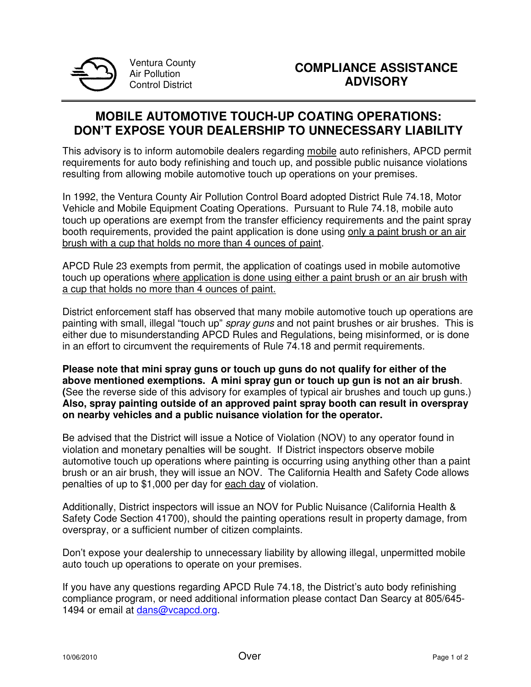

Ventura County Air Pollution Control District

## **MOBILE AUTOMOTIVE TOUCH-UP COATING OPERATIONS: DON'T EXPOSE YOUR DEALERSHIP TO UNNECESSARY LIABILITY**

This advisory is to inform automobile dealers regarding mobile auto refinishers, APCD permit requirements for auto body refinishing and touch up, and possible public nuisance violations resulting from allowing mobile automotive touch up operations on your premises.

In 1992, the Ventura County Air Pollution Control Board adopted District Rule 74.18, Motor Vehicle and Mobile Equipment Coating Operations. Pursuant to Rule 74.18, mobile auto touch up operations are exempt from the transfer efficiency requirements and the paint spray booth requirements, provided the paint application is done using only a paint brush or an air brush with a cup that holds no more than 4 ounces of paint.

APCD Rule 23 exempts from permit, the application of coatings used in mobile automotive touch up operations where application is done using either a paint brush or an air brush with a cup that holds no more than 4 ounces of paint.

District enforcement staff has observed that many mobile automotive touch up operations are painting with small, illegal "touch up" spray guns and not paint brushes or air brushes. This is either due to misunderstanding APCD Rules and Regulations, being misinformed, or is done in an effort to circumvent the requirements of Rule 74.18 and permit requirements.

**Please note that mini spray guns or touch up guns do not qualify for either of the above mentioned exemptions. A mini spray gun or touch up gun is not an air brush**. **(**See the reverse side of this advisory for examples of typical air brushes and touch up guns.) **Also, spray painting outside of an approved paint spray booth can result in overspray on nearby vehicles and a public nuisance violation for the operator.** 

Be advised that the District will issue a Notice of Violation (NOV) to any operator found in violation and monetary penalties will be sought. If District inspectors observe mobile automotive touch up operations where painting is occurring using anything other than a paint brush or an air brush, they will issue an NOV. The California Health and Safety Code allows penalties of up to \$1,000 per day for each day of violation.

Additionally, District inspectors will issue an NOV for Public Nuisance (California Health & Safety Code Section 41700), should the painting operations result in property damage, from overspray, or a sufficient number of citizen complaints.

Don't expose your dealership to unnecessary liability by allowing illegal, unpermitted mobile auto touch up operations to operate on your premises.

If you have any questions regarding APCD Rule 74.18, the District's auto body refinishing compliance program, or need additional information please contact Dan Searcy at 805/645- 1494 or email at dans@vcapcd.org.